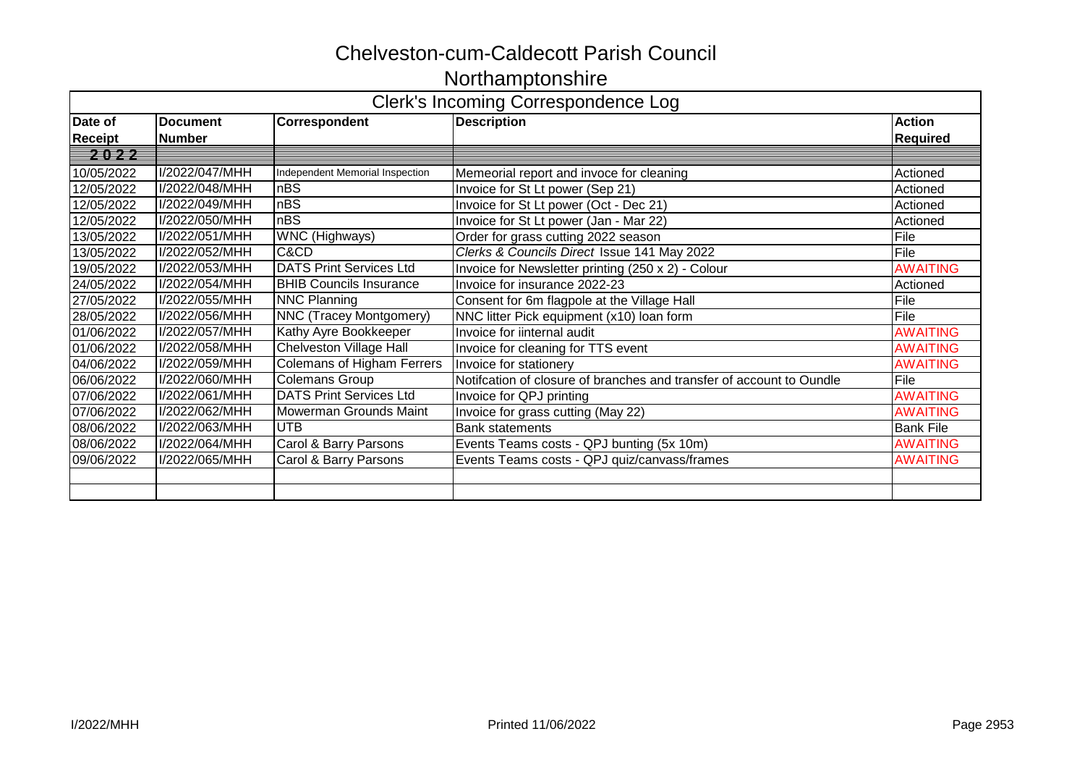## Chelveston-cum-Caldecott Parish Council

## Northamptonshire

| Clerk's Incoming Correspondence Log |                 |                                   |                                                                      |                  |  |  |  |  |
|-------------------------------------|-----------------|-----------------------------------|----------------------------------------------------------------------|------------------|--|--|--|--|
| Date of                             | <b>Document</b> | Correspondent                     | <b>Description</b>                                                   | <b>Action</b>    |  |  |  |  |
| <b>Receipt</b>                      | <b>Number</b>   |                                   |                                                                      | <b>Required</b>  |  |  |  |  |
| 2022                                |                 |                                   |                                                                      |                  |  |  |  |  |
| 10/05/2022                          | I/2022/047/MHH  | Independent Memorial Inspection   | Memeorial report and invoce for cleaning                             | Actioned         |  |  |  |  |
| 12/05/2022                          | I/2022/048/MHH  | nBS                               | Invoice for St Lt power (Sep 21)                                     | Actioned         |  |  |  |  |
| 12/05/2022                          | I/2022/049/MHH  | nBS                               | Invoice for St Lt power (Oct - Dec 21)                               | Actioned         |  |  |  |  |
| 12/05/2022                          | I/2022/050/MHH  | nBS                               | Invoice for St Lt power (Jan - Mar 22)                               | Actioned         |  |  |  |  |
| 13/05/2022                          | I/2022/051/MHH  | <b>WNC</b> (Highways)             | Order for grass cutting 2022 season                                  | File             |  |  |  |  |
| 13/05/2022                          | I/2022/052/MHH  | C&CD                              | Clerks & Councils Direct Issue 141 May 2022                          | File             |  |  |  |  |
| 19/05/2022                          | I/2022/053/MHH  | <b>DATS Print Services Ltd</b>    | Invoice for Newsletter printing (250 x 2) - Colour                   | <b>AWAITING</b>  |  |  |  |  |
| 24/05/2022                          | I/2022/054/MHH  | <b>BHIB Councils Insurance</b>    | Invoice for insurance 2022-23                                        | Actioned         |  |  |  |  |
| 27/05/2022                          | I/2022/055/MHH  | <b>NNC Planning</b>               | Consent for 6m flagpole at the Village Hall                          | File             |  |  |  |  |
| 28/05/2022                          | I/2022/056/MHH  | <b>NNC (Tracey Montgomery)</b>    | NNC litter Pick equipment (x10) loan form                            | File             |  |  |  |  |
| 01/06/2022                          | I/2022/057/MHH  | Kathy Ayre Bookkeeper             | Invoice for iinternal audit                                          | <b>AWAITING</b>  |  |  |  |  |
| 01/06/2022                          | I/2022/058/MHH  | <b>Chelveston Village Hall</b>    | Invoice for cleaning for TTS event                                   | <b>AWAITING</b>  |  |  |  |  |
| 04/06/2022                          | I/2022/059/MHH  | <b>Colemans of Higham Ferrers</b> | Invoice for stationery                                               | <b>AWAITING</b>  |  |  |  |  |
| 06/06/2022                          | I/2022/060/MHH  | <b>Colemans Group</b>             | Notifcation of closure of branches and transfer of account to Oundle | File             |  |  |  |  |
| 07/06/2022                          | I/2022/061/MHH  | <b>DATS Print Services Ltd</b>    | Invoice for QPJ printing                                             | <b>AWAITING</b>  |  |  |  |  |
| 07/06/2022                          | I/2022/062/MHH  | Mowerman Grounds Maint            | Invoice for grass cutting (May 22)                                   | <b>AWAITING</b>  |  |  |  |  |
| 08/06/2022                          | I/2022/063/MHH  | <b>UTB</b>                        | <b>Bank statements</b>                                               | <b>Bank File</b> |  |  |  |  |
| 08/06/2022                          | I/2022/064/MHH  | Carol & Barry Parsons             | Events Teams costs - QPJ bunting (5x 10m)                            | <b>AWAITING</b>  |  |  |  |  |
| 09/06/2022                          | I/2022/065/MHH  | <b>Carol &amp; Barry Parsons</b>  | Events Teams costs - QPJ quiz/canvass/frames                         | <b>AWAITING</b>  |  |  |  |  |
|                                     |                 |                                   |                                                                      |                  |  |  |  |  |
|                                     |                 |                                   |                                                                      |                  |  |  |  |  |